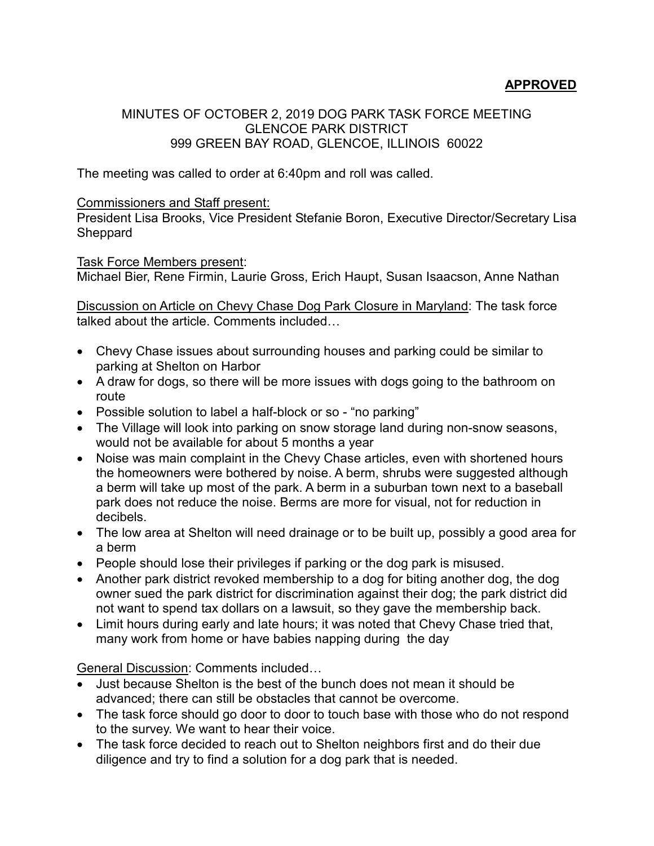## **APPROVED**

## MINUTES OF OCTOBER 2, 2019 DOG PARK TASK FORCE MEETING GLENCOE PARK DISTRICT 999 GREEN BAY ROAD, GLENCOE, ILLINOIS 60022

The meeting was called to order at 6:40pm and roll was called.

## Commissioners and Staff present:

President Lisa Brooks, Vice President Stefanie Boron, Executive Director/Secretary Lisa **Sheppard** 

## Task Force Members present:

Michael Bier, Rene Firmin, Laurie Gross, Erich Haupt, Susan Isaacson, Anne Nathan

Discussion on Article on Chevy Chase Dog Park Closure in Maryland: The task force talked about the article. Comments included…

- Chevy Chase issues about surrounding houses and parking could be similar to parking at Shelton on Harbor
- A draw for dogs, so there will be more issues with dogs going to the bathroom on route
- Possible solution to label a half-block or so "no parking"
- The Village will look into parking on snow storage land during non-snow seasons, would not be available for about 5 months a year
- Noise was main complaint in the Chevy Chase articles, even with shortened hours the homeowners were bothered by noise. A berm, shrubs were suggested although a berm will take up most of the park. A berm in a suburban town next to a baseball park does not reduce the noise. Berms are more for visual, not for reduction in decibels.
- The low area at Shelton will need drainage or to be built up, possibly a good area for a berm
- People should lose their privileges if parking or the dog park is misused.
- Another park district revoked membership to a dog for biting another dog, the dog owner sued the park district for discrimination against their dog; the park district did not want to spend tax dollars on a lawsuit, so they gave the membership back.
- Limit hours during early and late hours; it was noted that Chevy Chase tried that, many work from home or have babies napping during the day

General Discussion: Comments included…

- Just because Shelton is the best of the bunch does not mean it should be advanced; there can still be obstacles that cannot be overcome.
- The task force should go door to door to touch base with those who do not respond to the survey. We want to hear their voice.
- The task force decided to reach out to Shelton neighbors first and do their due diligence and try to find a solution for a dog park that is needed.